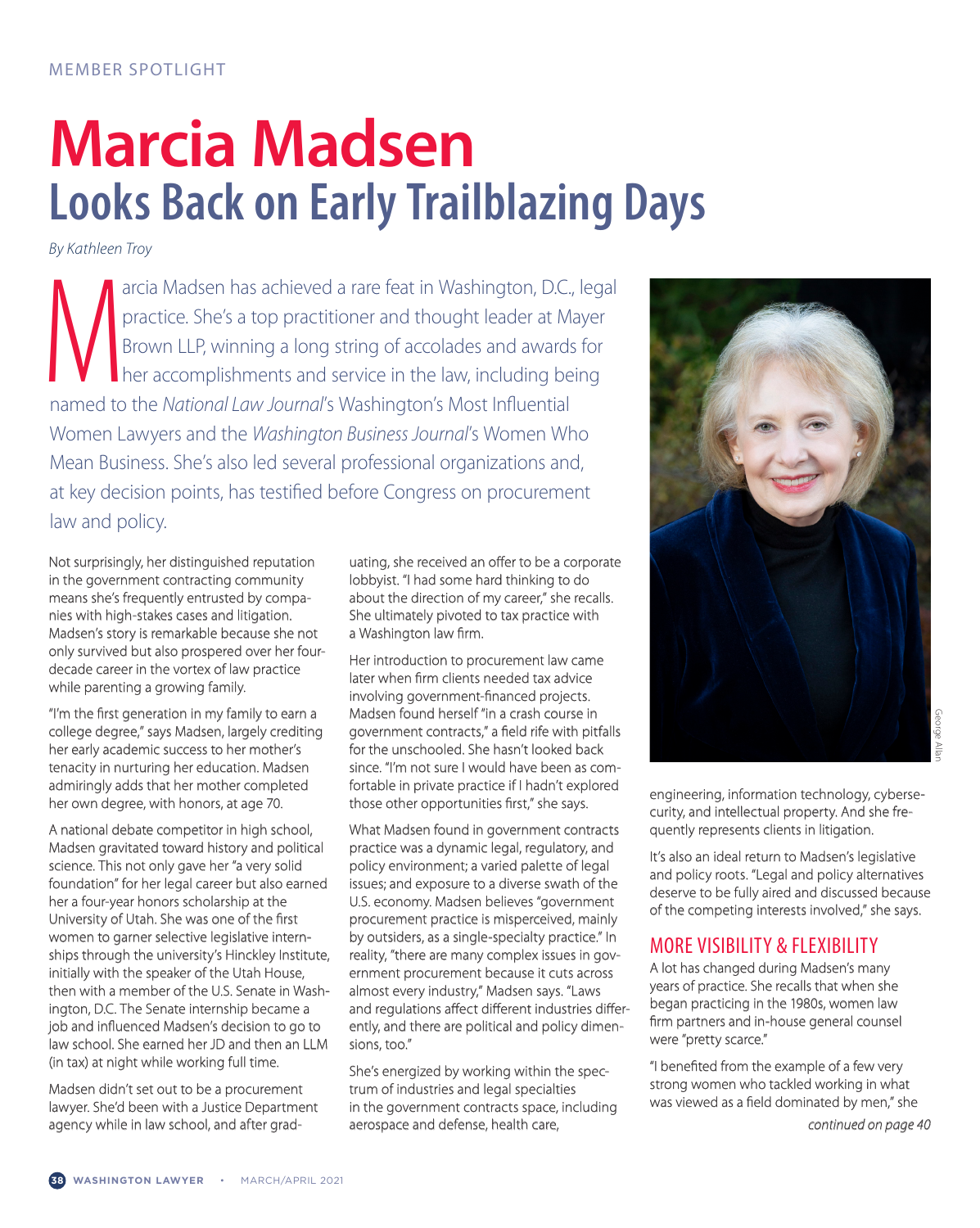## **Marcia Madsen Looks Back on Early Trailblazing Days**

*By Kathleen Troy*

arcia Madsen has achieved a rare feat in Washington, D.C., practice. She's a top practitioner and thought leader at M. Brown LLP, winning a long string of accolades and awards her accomplishments and service in the law, in arcia Madsen has achieved a rare feat in Washington, D.C., legal practice. She's a top practitioner and thought leader at Mayer Brown LLP, winning a long string of accolades and awards for **her accomplishments and service in the law, including being** Women Lawyers and the *Washington Business Journal*'s Women Who Mean Business. She's also led several professional organizations and, at key decision points, has testified before Congress on procurement law and policy.

Not surprisingly, her distinguished reputation in the government contracting community means she's frequently entrusted by companies with high-stakes cases and litigation. Madsen's story is remarkable because she not only survived but also prospered over her fourdecade career in the vortex of law practice while parenting a growing family.

"I'm the first generation in my family to earn a college degree," says Madsen, largely crediting her early academic success to her mother's tenacity in nurturing her education. Madsen admiringly adds that her mother completed her own degree, with honors, at age 70.

A national debate competitor in high school, Madsen gravitated toward history and political science. This not only gave her "a very solid foundation" for her legal career but also earned her a four-year honors scholarship at the University of Utah. She was one of the first women to garner selective legislative internships through the university's Hinckley Institute, initially with the speaker of the Utah House, then with a member of the U.S. Senate in Wash ington, D.C. The Senate internship became a job and influenced Madsen's decision to go to law school. She earned her JD and then an LLM (in tax) at night while working full time.

Madsen didn't set out to be a procurement lawyer. She'd been with a Justice Department agency while in law school, and after graduating, she received an offer to be a corporate lobbyist. "I had some hard thinking to do about the direction of my career," she recalls. She ultimately pivoted to tax practice with a Washington law firm.

Her introduction to procurement law came later when firm clients needed tax advice involving government-financed projects. Madsen found herself "in a crash course in government contracts," a field rife with pitfalls for the unschooled. She hasn't looked back since. "I'm not sure I would have been as comfortable in private practice if I hadn't explored those other opportunities first," she says.

What Madsen found in government contracts practice was a dynamic legal, regulatory, and policy environment; a varied palette of legal issues; and exposure to a diverse swath of the U.S. economy. Madsen believes "government procurement practice is misperceived, mainly by outsiders, as a single-specialty practice." In reality, "there are many complex issues in government procurement because it cuts across almost every industry," Madsen says. "Laws and regulations affect different industries differently, and there are political and policy dimensions, too."

She's energized by working within the spectrum of industries and legal specialties in the government contracts space, including aerospace and defense, health care,



engineering, information technology, cybersecurity, and intellectual property. And she frequently represents clients in litigation.

It's also an ideal return to Madsen's legislative and policy roots. "Legal and policy alternatives deserve to be fully aired and discussed because of the competing interests involved," she says.

## MORE VISIBILITY & FLEXIBILITY

A lot has changed during Madsen's many years of practice. She recalls that when she began practicing in the 1980s, women law firm partners and in-house general counsel were "pretty scarce."

"I benefited from the example of a few very strong women who tackled working in what was viewed as a field dominated by men," she

*continued on page 40*